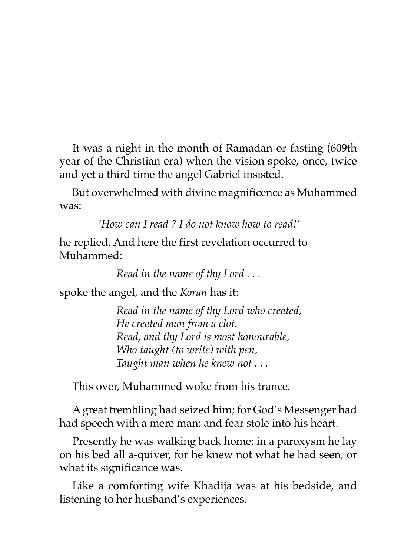It was a night in the month of Ramadan or fasting (609th year of the Christian era) when the vision spoke, once, twice and yet a third time the angel Gabriel insisted.

But overwhelmed with divine magnificence as Muhammed was:

*'How can I read ? I do not know how to read!'*

he replied. And here the first revelation occurred to Muhammed:

*Read in the name of thy Lord . . .*

spoke the angel, and the *Koran* has it:

*Read in the name of thy Lord who created, He created man from a clot. Read, and thy Lord is most honourable, Who taught (to write) with pen, Taught man when he knew not . . .*

This over, Muhammed woke from his trance.

A great trembling had seized him; for God's Messenger had had speech with a mere man: and fear stole into his heart.

Presently he was walking back home; in a paroxysm he lay on his bed all a-quiver, for he knew not what he had seen, or what its significance was.

Like a comforting wife Khadija was at his bedside, and listening to her husband's experiences.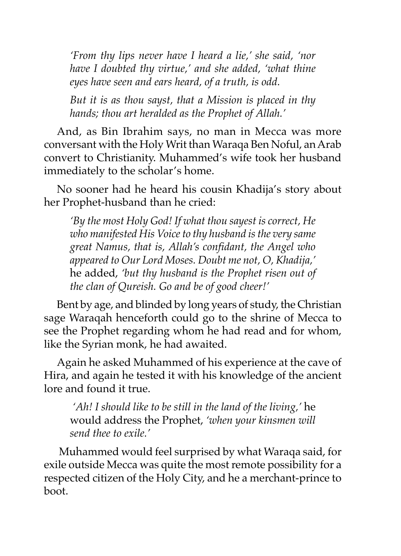*'From thy lips never have I heard a lie,' she said, 'nor have I doubted thy virtue,' and she added, 'what thine eyes have seen and ears heard, of a truth, is odd.*

*But it is as thou sayst, that a Mission is placed in thy hands; thou art heralded as the Prophet of Allah.'*

And, as Bin Ibrahim says, no man in Mecca was more conversant with the Holy Writ than Waraqa Ben Noful, an Arab convert to Christianity. Muhammed's wife took her husband immediately to the scholar's home.

No sooner had he heard his cousin Khadija's story about her Prophet-husband than he cried:

*'By the most Holy God! If what thou sayest is correct, He who manifested His Voice to thy husband is the very same great Namus, that is, Allah's confidant, the Angel who appeared to Our Lord Moses. Doubt me not, O, Khadija,'* he added, *'but thy husband is the Prophet risen out of the clan of Qureish. Go and be of good cheer!'*

Bent by age, and blinded by long years of study, the Christian sage Waraqah henceforth could go to the shrine of Mecca to see the Prophet regarding whom he had read and for whom, like the Syrian monk, he had awaited.

Again he asked Muhammed of his experience at the cave of Hira, and again he tested it with his knowledge of the ancient lore and found it true.

 *'Ah! I should like to be still in the land of the living,'* he would address the Prophet, *'when your kinsmen will send thee to exile.'*

 Muhammed would feel surprised by what Waraqa said, for exile outside Mecca was quite the most remote possibility for a respected citizen of the Holy City, and he a merchant-prince to boot.